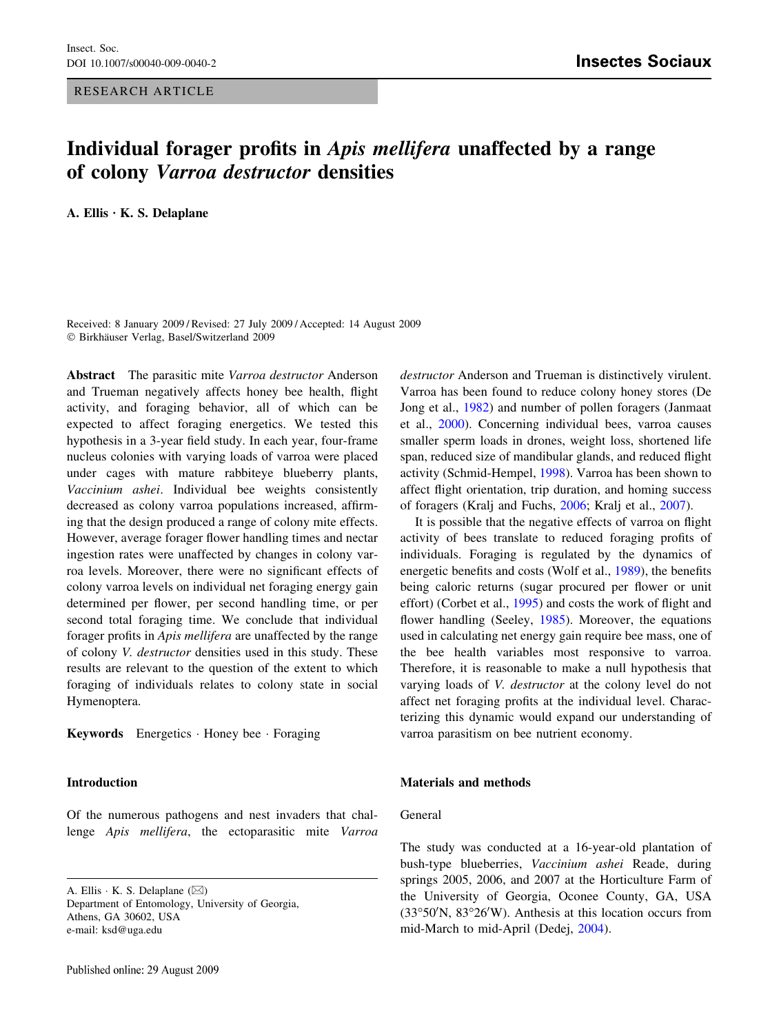## RESEARCH ARTICLE

# Individual forager profits in Apis mellifera unaffected by a range of colony Varroa destructor densities

A. Ellis  $\cdot$  K. S. Delaplane

Received: 8 January 2009 / Revised: 27 July 2009 / Accepted: 14 August 2009  $© Birkhäuser Verlag, Basel/Switzerland 2009$ 

Abstract The parasitic mite Varroa destructor Anderson and Trueman negatively affects honey bee health, flight activity, and foraging behavior, all of which can be expected to affect foraging energetics. We tested this hypothesis in a 3-year field study. In each year, four-frame nucleus colonies with varying loads of varroa were placed under cages with mature rabbiteye blueberry plants, Vaccinium ashei. Individual bee weights consistently decreased as colony varroa populations increased, affirming that the design produced a range of colony mite effects. However, average forager flower handling times and nectar ingestion rates were unaffected by changes in colony varroa levels. Moreover, there were no significant effects of colony varroa levels on individual net foraging energy gain determined per flower, per second handling time, or per second total foraging time. We conclude that individual forager profits in Apis mellifera are unaffected by the range of colony V. destructor densities used in this study. These results are relevant to the question of the extent to which foraging of individuals relates to colony state in social Hymenoptera.

Keywords Energetics · Honey bee · Foraging

## Introduction

Of the numerous pathogens and nest invaders that challenge Apis mellifera, the ectoparasitic mite Varroa

A. Ellis  $\cdot$  K. S. Delaplane  $(\boxtimes)$ Department of Entomology, University of Georgia, Athens, GA 30602, USA e-mail: ksd@uga.edu

destructor Anderson and Trueman is distinctively virulent. Varroa has been found to reduce colony honey stores (De Jong et al., [1982](#page-4-0)) and number of pollen foragers (Janmaat et al., [2000](#page-4-0)). Concerning individual bees, varroa causes smaller sperm loads in drones, weight loss, shortened life span, reduced size of mandibular glands, and reduced flight activity (Schmid-Hempel, [1998\)](#page-5-0). Varroa has been shown to affect flight orientation, trip duration, and homing success of foragers (Kralj and Fuchs, [2006](#page-4-0); Kralj et al., [2007\)](#page-4-0).

It is possible that the negative effects of varroa on flight activity of bees translate to reduced foraging profits of individuals. Foraging is regulated by the dynamics of energetic benefits and costs (Wolf et al., [1989\)](#page-5-0), the benefits being caloric returns (sugar procured per flower or unit effort) (Corbet et al., [1995\)](#page-4-0) and costs the work of flight and flower handling (Seeley, [1985\)](#page-5-0). Moreover, the equations used in calculating net energy gain require bee mass, one of the bee health variables most responsive to varroa. Therefore, it is reasonable to make a null hypothesis that varying loads of V. destructor at the colony level do not affect net foraging profits at the individual level. Characterizing this dynamic would expand our understanding of varroa parasitism on bee nutrient economy.

# Materials and methods

# General

The study was conducted at a 16-year-old plantation of bush-type blueberries, Vaccinium ashei Reade, during springs 2005, 2006, and 2007 at the Horticulture Farm of the University of Georgia, Oconee County, GA, USA (33°50'N, 83°26'W). Anthesis at this location occurs from mid-March to mid-April (Dedej, [2004\)](#page-4-0).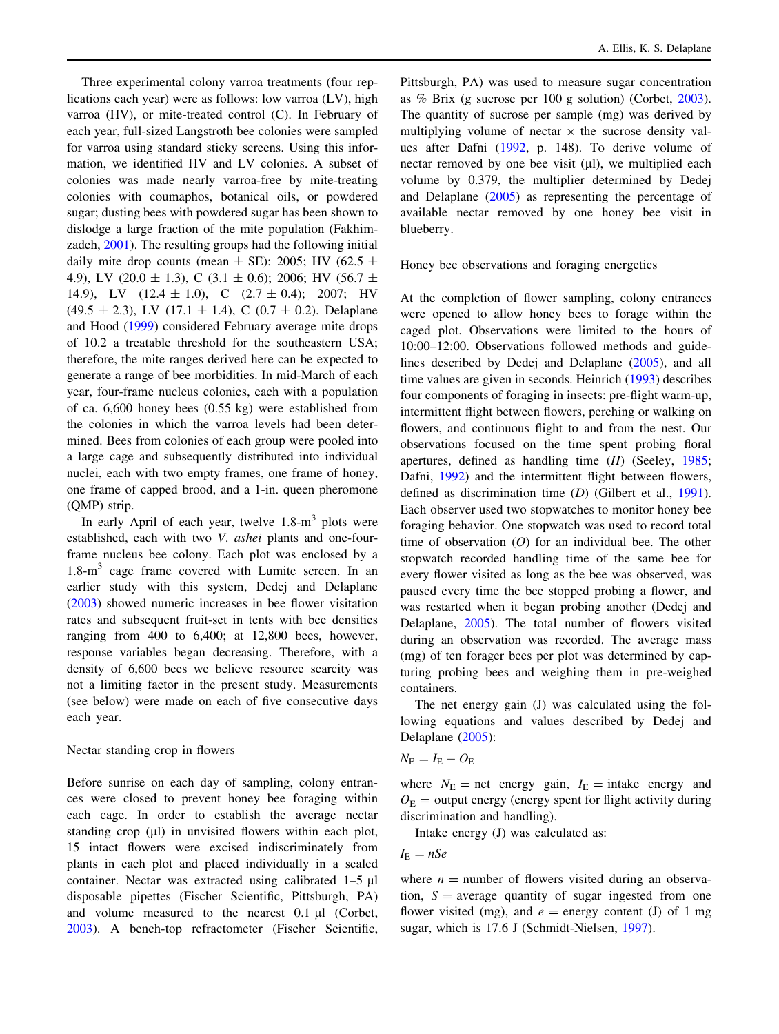Three experimental colony varroa treatments (four replications each year) were as follows: low varroa (LV), high varroa (HV), or mite-treated control (C). In February of each year, full-sized Langstroth bee colonies were sampled for varroa using standard sticky screens. Using this information, we identified HV and LV colonies. A subset of colonies was made nearly varroa-free by mite-treating colonies with coumaphos, botanical oils, or powdered sugar; dusting bees with powdered sugar has been shown to dislodge a large fraction of the mite population (Fakhimzadeh, [2001](#page-4-0)). The resulting groups had the following initial daily mite drop counts (mean  $\pm$  SE): 2005; HV (62.5  $\pm$ 4.9), LV (20.0  $\pm$  1.3), C (3.1  $\pm$  0.6); 2006; HV (56.7  $\pm$ 14.9), LV  $(12.4 \pm 1.0)$ , C  $(2.7 \pm 0.4)$ ; 2007; HV  $(49.5 \pm 2.3)$ , LV  $(17.1 \pm 1.4)$ , C  $(0.7 \pm 0.2)$ . Delaplane and Hood ([1999\)](#page-4-0) considered February average mite drops of 10.2 a treatable threshold for the southeastern USA; therefore, the mite ranges derived here can be expected to generate a range of bee morbidities. In mid-March of each year, four-frame nucleus colonies, each with a population of ca. 6,600 honey bees (0.55 kg) were established from the colonies in which the varroa levels had been determined. Bees from colonies of each group were pooled into a large cage and subsequently distributed into individual nuclei, each with two empty frames, one frame of honey, one frame of capped brood, and a 1-in. queen pheromone (QMP) strip.

In early April of each year, twelve  $1.8\text{-m}^3$  plots were established, each with two V. ashei plants and one-fourframe nucleus bee colony. Each plot was enclosed by a  $1.8\text{-m}^3$  cage frame covered with Lumite screen. In an earlier study with this system, Dedej and Delaplane [\(2003](#page-4-0)) showed numeric increases in bee flower visitation rates and subsequent fruit-set in tents with bee densities ranging from 400 to 6,400; at 12,800 bees, however, response variables began decreasing. Therefore, with a density of 6,600 bees we believe resource scarcity was not a limiting factor in the present study. Measurements (see below) were made on each of five consecutive days each year.

#### Nectar standing crop in flowers

Before sunrise on each day of sampling, colony entrances were closed to prevent honey bee foraging within each cage. In order to establish the average nectar standing crop  $(\mu l)$  in unvisited flowers within each plot, 15 intact flowers were excised indiscriminately from plants in each plot and placed individually in a sealed container. Nectar was extracted using calibrated  $1-5 \mu l$ disposable pipettes (Fischer Scientific, Pittsburgh, PA) and volume measured to the nearest  $0.1 \mu l$  (Corbet, [2003\)](#page-4-0). A bench-top refractometer (Fischer Scientific,

Pittsburgh, PA) was used to measure sugar concentration as % Brix (g sucrose per 100 g solution) (Corbet, [2003](#page-4-0)). The quantity of sucrose per sample (mg) was derived by multiplying volume of nectar  $\times$  the sucrose density values after Dafni [\(1992](#page-4-0), p. 148). To derive volume of nectar removed by one bee visit  $(\mu l)$ , we multiplied each volume by 0.379, the multiplier determined by Dedej and Delaplane [\(2005](#page-4-0)) as representing the percentage of available nectar removed by one honey bee visit in blueberry.

Honey bee observations and foraging energetics

At the completion of flower sampling, colony entrances were opened to allow honey bees to forage within the caged plot. Observations were limited to the hours of 10:00–12:00. Observations followed methods and guidelines described by Dedej and Delaplane [\(2005](#page-4-0)), and all time values are given in seconds. Heinrich [\(1993](#page-4-0)) describes four components of foraging in insects: pre-flight warm-up, intermittent flight between flowers, perching or walking on flowers, and continuous flight to and from the nest. Our observations focused on the time spent probing floral apertures, defined as handling time (H) (Seeley, [1985](#page-5-0); Dafni, [1992\)](#page-4-0) and the intermittent flight between flowers, defined as discrimination time (D) (Gilbert et al., [1991](#page-4-0)). Each observer used two stopwatches to monitor honey bee foraging behavior. One stopwatch was used to record total time of observation  $(O)$  for an individual bee. The other stopwatch recorded handling time of the same bee for every flower visited as long as the bee was observed, was paused every time the bee stopped probing a flower, and was restarted when it began probing another (Dedej and Delaplane, [2005](#page-4-0)). The total number of flowers visited during an observation was recorded. The average mass (mg) of ten forager bees per plot was determined by capturing probing bees and weighing them in pre-weighed containers.

The net energy gain (J) was calculated using the following equations and values described by Dedej and Delaplane [\(2005](#page-4-0)):

$$
N_{\rm E}=I_{\rm E}-O_{\rm E}
$$

where  $N_{\rm E}$  = net energy gain,  $I_{\rm E}$  = intake energy and  $O<sub>E</sub>$  = output energy (energy spent for flight activity during discrimination and handling).

Intake energy (J) was calculated as:

$$
I_{\rm E}=nSe
$$

where  $n =$  number of flowers visited during an observation,  $S =$  average quantity of sugar ingested from one flower visited (mg), and  $e =$  energy content (J) of 1 mg sugar, which is 17.6 J (Schmidt-Nielsen, [1997\)](#page-5-0).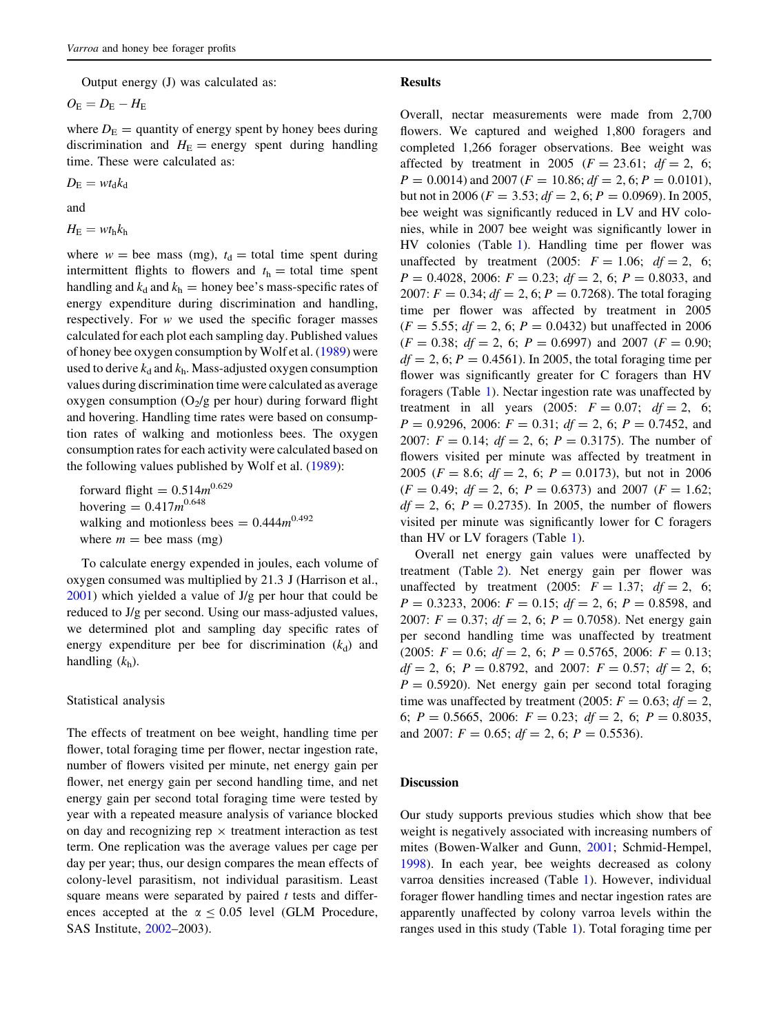Output energy (J) was calculated as:

 $O_{\rm E}=D_{\rm E}-H_{\rm E}$ 

where  $D<sub>E</sub>$  = quantity of energy spent by honey bees during discrimination and  $H<sub>E</sub>$  = energy spent during handling time. These were calculated as:

 $D_{\rm E} = w t_{\rm d} k_{\rm d}$ 

and

 $H_{\rm E} = w t_{\rm h} k_{\rm h}$ 

where  $w =$  bee mass (mg),  $t<sub>d</sub> =$  total time spent during intermittent flights to flowers and  $t<sub>h</sub> =$  total time spent handling and  $k_d$  and  $k_h$  = honey bee's mass-specific rates of energy expenditure during discrimination and handling, respectively. For  $w$  we used the specific forager masses calculated for each plot each sampling day. Published values of honey bee oxygen consumption by Wolf et al. ([1989\)](#page-5-0) were used to derive  $k_d$  and  $k_h$ . Mass-adjusted oxygen consumption values during discrimination time were calculated as average oxygen consumption  $(O_2/g$  per hour) during forward flight and hovering. Handling time rates were based on consumption rates of walking and motionless bees. The oxygen consumption rates for each activity were calculated based on the following values published by Wolf et al. ([1989](#page-5-0)):

forward flight =  $0.514m^{0.629}$ hovering =  $0.417m^{0.648}$ walking and motionless bees =  $0.444m^{0.492}$ where  $m =$  bee mass (mg)

To calculate energy expended in joules, each volume of oxygen consumed was multiplied by 21.3 J (Harrison et al.,  $2001$ ) which yielded a value of J/g per hour that could be reduced to J/g per second. Using our mass-adjusted values, we determined plot and sampling day specific rates of energy expenditure per bee for discrimination  $(k_d)$  and handling  $(k_h)$ .

#### Statistical analysis

The effects of treatment on bee weight, handling time per flower, total foraging time per flower, nectar ingestion rate, number of flowers visited per minute, net energy gain per flower, net energy gain per second handling time, and net energy gain per second total foraging time were tested by year with a repeated measure analysis of variance blocked on day and recognizing rep  $\times$  treatment interaction as test term. One replication was the average values per cage per day per year; thus, our design compares the mean effects of colony-level parasitism, not individual parasitism. Least square means were separated by paired  $t$  tests and differences accepted at the  $\alpha \le 0.05$  level (GLM Procedure, SAS Institute, [2002](#page-4-0)–2003).

#### Results

Overall, nectar measurements were made from 2,700 flowers. We captured and weighed 1,800 foragers and completed 1,266 forager observations. Bee weight was affected by treatment in 2005 ( $F = 23.61$ ;  $df = 2$ , 6;  $P = 0.0014$ ) and 2007 ( $F = 10.86$ ;  $df = 2, 6$ ;  $P = 0.0101$ ), but not in 2006 ( $F = 3.53$ ;  $df = 2, 6$ ;  $P = 0.0969$ ). In 2005, bee weight was significantly reduced in LV and HV colonies, while in 2007 bee weight was significantly lower in HV colonies (Table [1](#page-3-0)). Handling time per flower was unaffected by treatment (2005:  $F = 1.06$ ;  $df = 2$ , 6;  $P = 0.4028$ , 2006:  $F = 0.23$ ;  $df = 2$ , 6;  $P = 0.8033$ , and 2007:  $F = 0.34$ ;  $df = 2$ , 6;  $P = 0.7268$ ). The total foraging time per flower was affected by treatment in 2005  $(F = 5.55; df = 2, 6; P = 0.0432)$  but unaffected in 2006  $(F = 0.38; df = 2, 6; P = 0.6997)$  and 2007  $(F = 0.90;$  $df = 2$ , 6;  $P = 0.4561$ ). In 2005, the total foraging time per flower was significantly greater for C foragers than HV foragers (Table [1](#page-3-0)). Nectar ingestion rate was unaffected by treatment in all years (2005:  $F = 0.07$ ;  $df = 2$ , 6;  $P = 0.9296, 2006$ :  $F = 0.31$ ;  $df = 2$ , 6;  $P = 0.7452$ , and 2007:  $F = 0.14$ ;  $df = 2$ , 6;  $P = 0.3175$ ). The number of flowers visited per minute was affected by treatment in 2005 ( $F = 8.6$ ;  $df = 2$ , 6;  $P = 0.0173$ ), but not in 2006  $(F = 0.49; df = 2, 6; P = 0.6373)$  and 2007  $(F = 1.62;$  $df = 2$ , 6;  $P = 0.2735$ ). In 2005, the number of flowers visited per minute was significantly lower for C foragers than HV or LV foragers (Table [1\)](#page-3-0).

Overall net energy gain values were unaffected by treatment (Table [2](#page-3-0)). Net energy gain per flower was unaffected by treatment (2005:  $F = 1.37$ ;  $df = 2$ , 6;  $P = 0.3233$ , 2006:  $F = 0.15$ ;  $df = 2$ , 6;  $P = 0.8598$ , and 2007:  $F = 0.37$ ;  $df = 2$ , 6;  $P = 0.7058$ ). Net energy gain per second handling time was unaffected by treatment  $(2005: F = 0.6; df = 2, 6; P = 0.5765, 2006: F = 0.13;$  $df = 2$ , 6;  $P = 0.8792$ , and 2007:  $F = 0.57$ ;  $df = 2$ , 6;  $P = 0.5920$ . Net energy gain per second total foraging time was unaffected by treatment (2005:  $F = 0.63$ ;  $df = 2$ , 6;  $P = 0.5665$ , 2006:  $F = 0.23$ ;  $df = 2$ , 6;  $P = 0.8035$ , and 2007:  $F = 0.65$ ;  $df = 2$ , 6;  $P = 0.5536$ .

#### Discussion

Our study supports previous studies which show that bee weight is negatively associated with increasing numbers of mites (Bowen-Walker and Gunn, [2001;](#page-4-0) Schmid-Hempel, [1998](#page-5-0)). In each year, bee weights decreased as colony varroa densities increased (Table [1\)](#page-3-0). However, individual forager flower handling times and nectar ingestion rates are apparently unaffected by colony varroa levels within the ranges used in this study (Table [1](#page-3-0)). Total foraging time per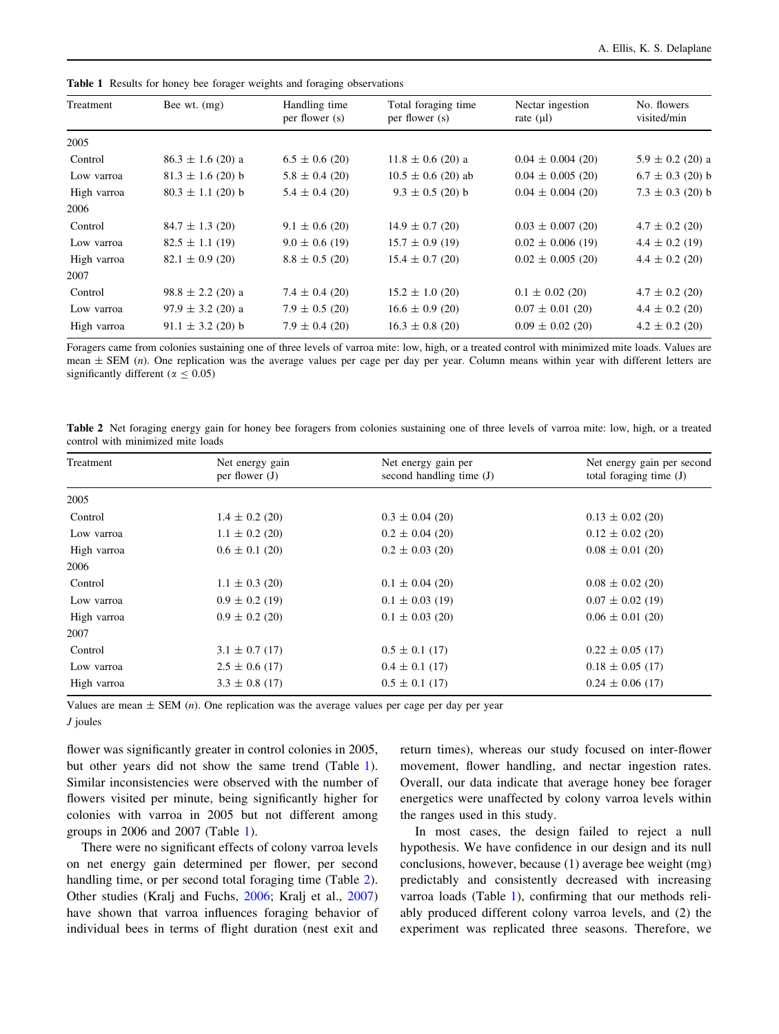| Treatment   | Bee wt. $(mg)$        | Handling time<br>per flower (s) | Total foraging time<br>per flower (s) | Nectar ingestion<br>rate $(\mu l)$ | No. flowers<br>visited/min |
|-------------|-----------------------|---------------------------------|---------------------------------------|------------------------------------|----------------------------|
| 2005        |                       |                                 |                                       |                                    |                            |
| Control     | $86.3 \pm 1.6$ (20) a | $6.5 \pm 0.6$ (20)              | $11.8 \pm 0.6$ (20) a                 | $0.04 \pm 0.004$ (20)              | $5.9 \pm 0.2$ (20) a       |
| Low varroa  | $81.3 \pm 1.6$ (20) b | $5.8 \pm 0.4$ (20)              | $10.5 \pm 0.6$ (20) ab                | $0.04 \pm 0.005$ (20)              | $6.7 \pm 0.3$ (20) b       |
| High varroa | $80.3 \pm 1.1$ (20) b | $5.4 \pm 0.4$ (20)              | $9.3 \pm 0.5$ (20) b                  | $0.04 \pm 0.004$ (20)              | $7.3 \pm 0.3$ (20) b       |
| 2006        |                       |                                 |                                       |                                    |                            |
| Control     | $84.7 \pm 1.3$ (20)   | $9.1 \pm 0.6$ (20)              | $14.9 \pm 0.7$ (20)                   | $0.03 \pm 0.007$ (20)              | $4.7 \pm 0.2$ (20)         |
| Low varroa  | $82.5 \pm 1.1$ (19)   | $9.0 \pm 0.6$ (19)              | $15.7 \pm 0.9$ (19)                   | $0.02 \pm 0.006$ (19)              | $4.4 \pm 0.2$ (19)         |
| High varroa | $82.1 \pm 0.9$ (20)   | $8.8 \pm 0.5$ (20)              | $15.4 \pm 0.7$ (20)                   | $0.02 \pm 0.005$ (20)              | $4.4 \pm 0.2$ (20)         |
| 2007        |                       |                                 |                                       |                                    |                            |
| Control     | $98.8 \pm 2.2$ (20) a | $7.4 \pm 0.4$ (20)              | $15.2 \pm 1.0$ (20)                   | $0.1 \pm 0.02$ (20)                | $4.7 \pm 0.2$ (20)         |
| Low varroa  | $97.9 \pm 3.2$ (20) a | $7.9 \pm 0.5$ (20)              | $16.6 \pm 0.9$ (20)                   | $0.07 \pm 0.01$ (20)               | $4.4 \pm 0.2$ (20)         |
| High varroa | $91.1 \pm 3.2$ (20) b | $7.9 \pm 0.4$ (20)              | $16.3 \pm 0.8$ (20)                   | $0.09 \pm 0.02$ (20)               | $4.2 \pm 0.2$ (20)         |

<span id="page-3-0"></span>Table 1 Results for honey bee forager weights and foraging observations

Foragers came from colonies sustaining one of three levels of varroa mite: low, high, or a treated control with minimized mite loads. Values are mean  $\pm$  SEM (*n*). One replication was the average values per cage per day per year. Column means within year with different letters are significantly different ( $\alpha \le 0.05$ )

Table 2 Net foraging energy gain for honey bee foragers from colonies sustaining one of three levels of varroa mite: low, high, or a treated control with minimized mite loads

| Treatment   | Net energy gain<br>per flower $(J)$ | Net energy gain per<br>second handling time (J) | Net energy gain per second<br>total foraging time $(J)$ |
|-------------|-------------------------------------|-------------------------------------------------|---------------------------------------------------------|
| 2005        |                                     |                                                 |                                                         |
| Control     | $1.4 \pm 0.2$ (20)                  | $0.3 \pm 0.04$ (20)                             | $0.13 \pm 0.02$ (20)                                    |
| Low varroa  | $1.1 \pm 0.2$ (20)                  | $0.2 \pm 0.04$ (20)                             | $0.12 \pm 0.02$ (20)                                    |
| High varroa | $0.6 \pm 0.1$ (20)                  | $0.2 \pm 0.03$ (20)                             | $0.08 \pm 0.01$ (20)                                    |
| 2006        |                                     |                                                 |                                                         |
| Control     | $1.1 \pm 0.3$ (20)                  | $0.1 \pm 0.04$ (20)                             | $0.08 \pm 0.02$ (20)                                    |
| Low varroa  | $0.9 \pm 0.2$ (19)                  | $0.1 \pm 0.03$ (19)                             | $0.07 \pm 0.02$ (19)                                    |
| High varroa | $0.9 \pm 0.2$ (20)                  | $0.1 \pm 0.03$ (20)                             | $0.06 \pm 0.01$ (20)                                    |
| 2007        |                                     |                                                 |                                                         |
| Control     | $3.1 \pm 0.7$ (17)                  | $0.5 \pm 0.1$ (17)                              | $0.22 \pm 0.05$ (17)                                    |
| Low varroa  | $2.5 \pm 0.6$ (17)                  | $0.4 \pm 0.1$ (17)                              | $0.18 \pm 0.05$ (17)                                    |
| High varroa | $3.3 \pm 0.8$ (17)                  | $0.5 \pm 0.1$ (17)                              | $0.24 \pm 0.06$ (17)                                    |

Values are mean  $\pm$  SEM (*n*). One replication was the average values per cage per day per year

J joules

flower was significantly greater in control colonies in 2005, but other years did not show the same trend (Table 1). Similar inconsistencies were observed with the number of flowers visited per minute, being significantly higher for colonies with varroa in 2005 but not different among groups in 2006 and 2007 (Table 1).

There were no significant effects of colony varroa levels on net energy gain determined per flower, per second handling time, or per second total foraging time (Table 2). Other studies (Kralj and Fuchs, [2006;](#page-4-0) Kralj et al., [2007\)](#page-4-0) have shown that varroa influences foraging behavior of individual bees in terms of flight duration (nest exit and return times), whereas our study focused on inter-flower movement, flower handling, and nectar ingestion rates. Overall, our data indicate that average honey bee forager energetics were unaffected by colony varroa levels within the ranges used in this study.

In most cases, the design failed to reject a null hypothesis. We have confidence in our design and its null conclusions, however, because (1) average bee weight (mg) predictably and consistently decreased with increasing varroa loads (Table 1), confirming that our methods reliably produced different colony varroa levels, and (2) the experiment was replicated three seasons. Therefore, we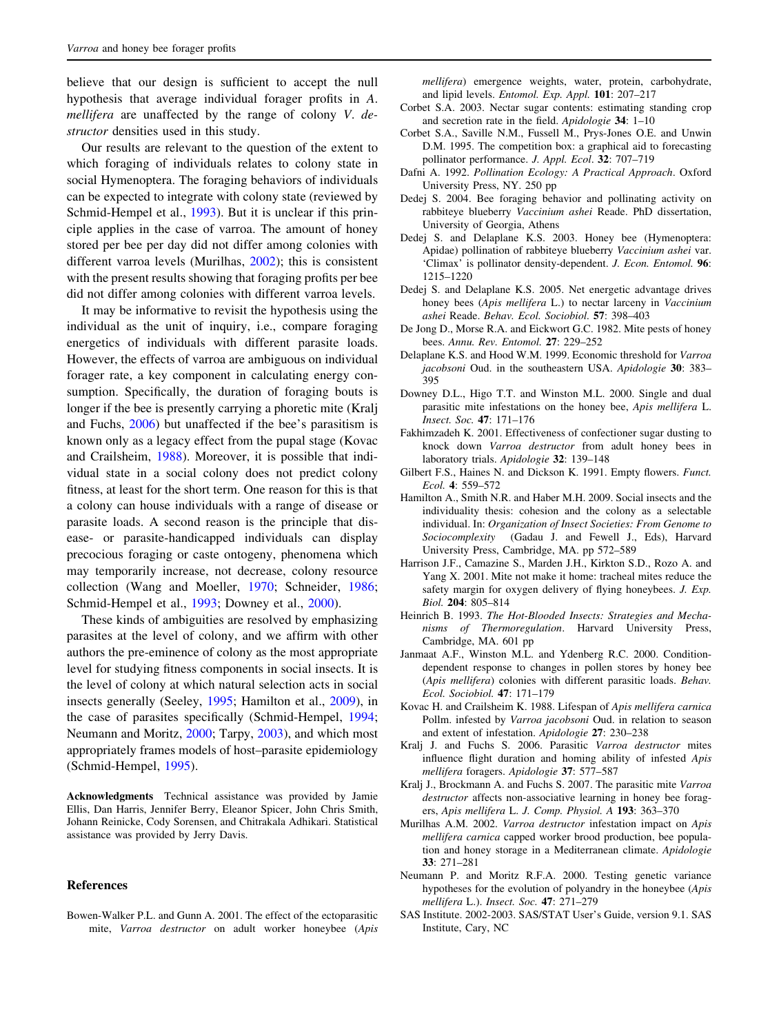<span id="page-4-0"></span>believe that our design is sufficient to accept the null hypothesis that average individual forager profits in A. mellifera are unaffected by the range of colony V. destructor densities used in this study.

Our results are relevant to the question of the extent to which foraging of individuals relates to colony state in social Hymenoptera. The foraging behaviors of individuals can be expected to integrate with colony state (reviewed by Schmid-Hempel et al., [1993](#page-5-0)). But it is unclear if this principle applies in the case of varroa. The amount of honey stored per bee per day did not differ among colonies with different varroa levels (Murilhas, 2002); this is consistent with the present results showing that foraging profits per bee did not differ among colonies with different varroa levels.

It may be informative to revisit the hypothesis using the individual as the unit of inquiry, i.e., compare foraging energetics of individuals with different parasite loads. However, the effects of varroa are ambiguous on individual forager rate, a key component in calculating energy consumption. Specifically, the duration of foraging bouts is longer if the bee is presently carrying a phoretic mite (Kralj and Fuchs, 2006) but unaffected if the bee's parasitism is known only as a legacy effect from the pupal stage (Kovac and Crailsheim, 1988). Moreover, it is possible that individual state in a social colony does not predict colony fitness, at least for the short term. One reason for this is that a colony can house individuals with a range of disease or parasite loads. A second reason is the principle that disease- or parasite-handicapped individuals can display precocious foraging or caste ontogeny, phenomena which may temporarily increase, not decrease, colony resource collection (Wang and Moeller, [1970;](#page-5-0) Schneider, [1986](#page-5-0); Schmid-Hempel et al., [1993](#page-5-0); Downey et al., 2000).

These kinds of ambiguities are resolved by emphasizing parasites at the level of colony, and we affirm with other authors the pre-eminence of colony as the most appropriate level for studying fitness components in social insects. It is the level of colony at which natural selection acts in social insects generally (Seeley, [1995](#page-5-0); Hamilton et al., 2009), in the case of parasites specifically (Schmid-Hempel, [1994](#page-5-0); Neumann and Moritz, 2000; Tarpy, [2003\)](#page-5-0), and which most appropriately frames models of host–parasite epidemiology (Schmid-Hempel, [1995\)](#page-5-0).

Acknowledgments Technical assistance was provided by Jamie Ellis, Dan Harris, Jennifer Berry, Eleanor Spicer, John Chris Smith, Johann Reinicke, Cody Sorensen, and Chitrakala Adhikari. Statistical assistance was provided by Jerry Davis.

## References

Bowen-Walker P.L. and Gunn A. 2001. The effect of the ectoparasitic mite, Varroa destructor on adult worker honeybee (Apis mellifera) emergence weights, water, protein, carbohydrate, and lipid levels. Entomol. Exp. Appl. 101: 207–217

- Corbet S.A. 2003. Nectar sugar contents: estimating standing crop and secretion rate in the field. Apidologie 34: 1–10
- Corbet S.A., Saville N.M., Fussell M., Prys-Jones O.E. and Unwin D.M. 1995. The competition box: a graphical aid to forecasting pollinator performance. J. Appl. Ecol. 32: 707–719
- Dafni A. 1992. Pollination Ecology: A Practical Approach. Oxford University Press, NY. 250 pp
- Dedej S. 2004. Bee foraging behavior and pollinating activity on rabbiteye blueberry Vaccinium ashei Reade. PhD dissertation, University of Georgia, Athens
- Dedej S. and Delaplane K.S. 2003. Honey bee (Hymenoptera: Apidae) pollination of rabbiteye blueberry Vaccinium ashei var. 'Climax' is pollinator density-dependent. J. Econ. Entomol. 96: 1215–1220
- Dedej S. and Delaplane K.S. 2005. Net energetic advantage drives honey bees (Apis mellifera L.) to nectar larceny in Vaccinium ashei Reade. Behav. Ecol. Sociobiol. 57: 398–403
- De Jong D., Morse R.A. and Eickwort G.C. 1982. Mite pests of honey bees. Annu. Rev. Entomol. 27: 229–252
- Delaplane K.S. and Hood W.M. 1999. Economic threshold for Varroa jacobsoni Oud. in the southeastern USA. Apidologie 30: 383– 395
- Downey D.L., Higo T.T. and Winston M.L. 2000. Single and dual parasitic mite infestations on the honey bee, Apis mellifera L. Insect. Soc. 47: 171–176
- Fakhimzadeh K. 2001. Effectiveness of confectioner sugar dusting to knock down Varroa destructor from adult honey bees in laboratory trials. Apidologie 32: 139–148
- Gilbert F.S., Haines N. and Dickson K. 1991. Empty flowers. Funct. Ecol. 4: 559–572
- Hamilton A., Smith N.R. and Haber M.H. 2009. Social insects and the individuality thesis: cohesion and the colony as a selectable individual. In: Organization of Insect Societies: From Genome to Sociocomplexity (Gadau J. and Fewell J., Eds), Harvard University Press, Cambridge, MA. pp 572–589
- Harrison J.F., Camazine S., Marden J.H., Kirkton S.D., Rozo A. and Yang X. 2001. Mite not make it home: tracheal mites reduce the safety margin for oxygen delivery of flying honeybees. J. Exp. Biol. 204: 805–814
- Heinrich B. 1993. The Hot-Blooded Insects: Strategies and Mechanisms of Thermoregulation. Harvard University Press, Cambridge, MA. 601 pp
- Janmaat A.F., Winston M.L. and Ydenberg R.C. 2000. Conditiondependent response to changes in pollen stores by honey bee (Apis mellifera) colonies with different parasitic loads. Behav. Ecol. Sociobiol. 47: 171–179
- Kovac H. and Crailsheim K. 1988. Lifespan of Apis mellifera carnica Pollm. infested by Varroa jacobsoni Oud. in relation to season and extent of infestation. Apidologie 27: 230–238
- Kralj J. and Fuchs S. 2006. Parasitic Varroa destructor mites influence flight duration and homing ability of infested Apis mellifera foragers. Apidologie 37: 577–587
- Kralj J., Brockmann A. and Fuchs S. 2007. The parasitic mite Varroa destructor affects non-associative learning in honey bee foragers, Apis mellifera L. J. Comp. Physiol. A 193: 363–370
- Murilhas A.M. 2002. Varroa destructor infestation impact on Apis mellifera carnica capped worker brood production, bee population and honey storage in a Mediterranean climate. Apidologie 33: 271–281
- Neumann P. and Moritz R.F.A. 2000. Testing genetic variance hypotheses for the evolution of polyandry in the honeybee (Apis mellifera L.). Insect. Soc. 47: 271–279
- SAS Institute. 2002-2003. SAS/STAT User's Guide, version 9.1. SAS Institute, Cary, NC